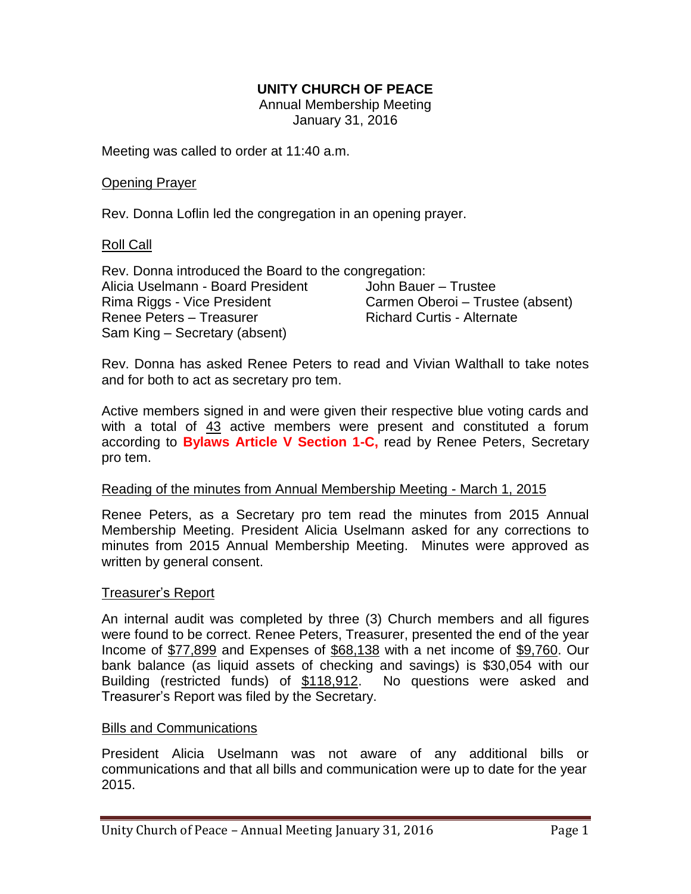## **UNITY CHURCH OF PEACE**

Annual Membership Meeting January 31, 2016

Meeting was called to order at 11:40 a.m.

#### Opening Prayer

Rev. Donna Loflin led the congregation in an opening prayer.

#### Roll Call

Rev. Donna introduced the Board to the congregation: Alicia Uselmann - Board President Rima Riggs - Vice President Renee Peters – Treasurer Sam King – Secretary (absent) John Bauer – Trustee Carmen Oberoi – Trustee (absent) Richard Curtis - Alternate

Rev. Donna has asked Renee Peters to read and Vivian Walthall to take notes and for both to act as secretary pro tem.

Active members signed in and were given their respective blue voting cards and with a total of 43 active members were present and constituted a forum according to **Bylaws Article V Section 1-C,** read by Renee Peters, Secretary pro tem.

#### Reading of the minutes from Annual Membership Meeting - March 1, 2015 ׇֺ֚֞֝֬

Renee Peters, as a Secretary pro tem read the minutes from 2015 Annual Membership Meeting. President Alicia Uselmann asked for any corrections to minutes from 2015 Annual Membership Meeting. Minutes were approved as written by general consent.

#### Treasurer"s Report

An internal audit was completed by three (3) Church members and all figures were found to be correct. Renee Peters, Treasurer, presented the end of the year Income of \$77,899 and Expenses of \$68,138 with a net income of \$9,760. Our bank balance (as liquid assets of checking and savings) is \$30,054 with our Building (restricted funds) of \$118,912. No questions were asked and Treasurer"s Report was filed by the Secretary.

#### Bills and Communications

President Alicia Uselmann was not aware of any additional bills or communications and that all bills and communication were up to date for the year 2015.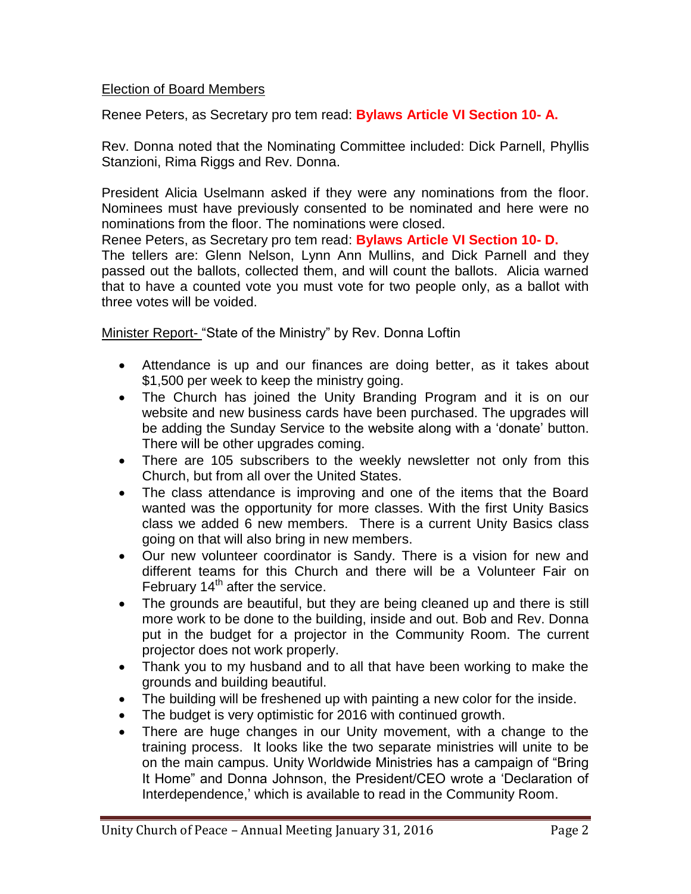## Election of Board Members

Renee Peters, as Secretary pro tem read: **Bylaws Article VI Section 10- A.**

Rev. Donna noted that the Nominating Committee included: Dick Parnell, Phyllis Stanzioni, Rima Riggs and Rev. Donna.

President Alicia Uselmann asked if they were any nominations from the floor. Nominees must have previously consented to be nominated and here were no nominations from the floor. The nominations were closed.

Renee Peters, as Secretary pro tem read: **Bylaws Article VI Section 10- D.** The tellers are: Glenn Nelson, Lynn Ann Mullins, and Dick Parnell and they

passed out the ballots, collected them, and will count the ballots. Alicia warned that to have a counted vote you must vote for two people only, as a ballot with three votes will be voided.

Minister Report- "State of the Ministry" by Rev. Donna Loftin

- Attendance is up and our finances are doing better, as it takes about \$1,500 per week to keep the ministry going.
- The Church has joined the Unity Branding Program and it is on our website and new business cards have been purchased. The upgrades will be adding the Sunday Service to the website along with a "donate" button. There will be other upgrades coming.
- There are 105 subscribers to the weekly newsletter not only from this Church, but from all over the United States.
- The class attendance is improving and one of the items that the Board wanted was the opportunity for more classes. With the first Unity Basics class we added 6 new members. There is a current Unity Basics class going on that will also bring in new members.
- Our new volunteer coordinator is Sandy. There is a vision for new and different teams for this Church and there will be a Volunteer Fair on February  $14<sup>th</sup>$  after the service.
- The grounds are beautiful, but they are being cleaned up and there is still more work to be done to the building, inside and out. Bob and Rev. Donna put in the budget for a projector in the Community Room. The current projector does not work properly.
- Thank you to my husband and to all that have been working to make the grounds and building beautiful.
- The building will be freshened up with painting a new color for the inside.
- The budget is very optimistic for 2016 with continued growth.
- There are huge changes in our Unity movement, with a change to the training process. It looks like the two separate ministries will unite to be on the main campus. Unity Worldwide Ministries has a campaign of "Bring It Home" and Donna Johnson, the President/CEO wrote a "Declaration of Interdependence,' which is available to read in the Community Room.